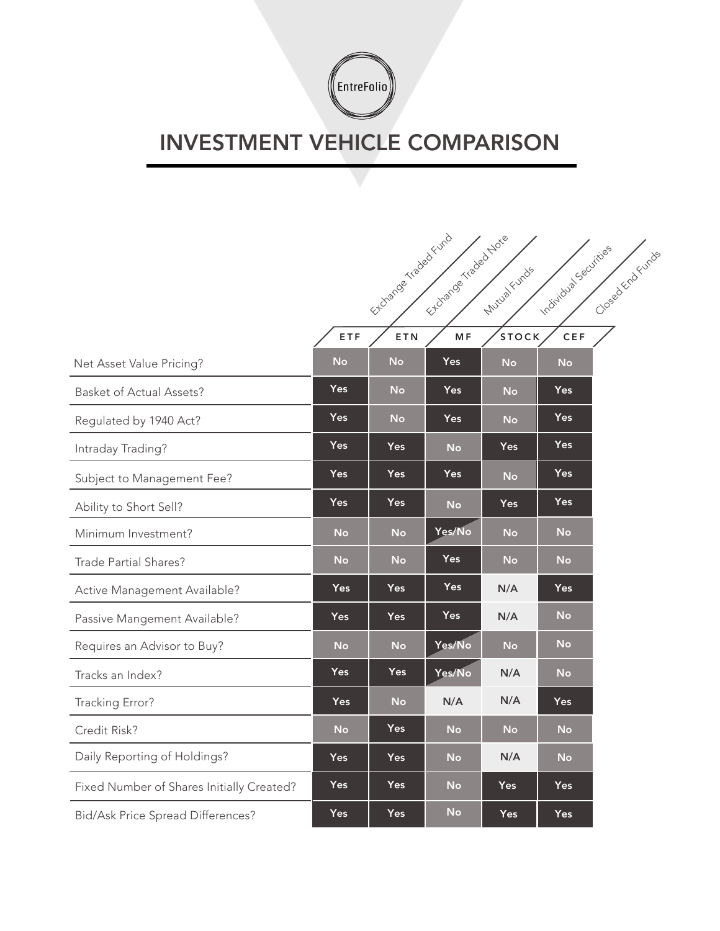

## INVESTMENT VEHICLE COMPARISON

|                                           | Extranged traded Euro<br>Etizarde strated Note<br>Individual Securities<br>Closed Kichchichs<br>Mutua Funds |            |                |              |            |  |
|-------------------------------------------|-------------------------------------------------------------------------------------------------------------|------------|----------------|--------------|------------|--|
|                                           | ETF                                                                                                         | ETN        | M <sub>F</sub> | <b>STOCK</b> | CEF        |  |
| Net Asset Value Pricing?                  | <b>No</b>                                                                                                   | <b>No</b>  | Yes            | <b>No</b>    | <b>No</b>  |  |
| <b>Basket of Actual Assets?</b>           | <b>Yes</b>                                                                                                  | No         | <b>Yes</b>     | <b>No</b>    | Yes        |  |
| Regulated by 1940 Act?                    | <b>Yes</b>                                                                                                  | <b>No</b>  | Yes            | <b>No</b>    | Yes        |  |
| Intraday Trading?                         | <b>Yes</b>                                                                                                  | <b>Yes</b> | <b>No</b>      | Yes          | <b>Yes</b> |  |
| Subject to Management Fee?                | <b>Yes</b>                                                                                                  | <b>Yes</b> | Yes            | <b>No</b>    | Yes        |  |
| Ability to Short Sell?                    | <b>Yes</b>                                                                                                  | <b>Yes</b> | <b>No</b>      | <b>Yes</b>   | <b>Yes</b> |  |
| Minimum Investment?                       | <b>No</b>                                                                                                   | <b>No</b>  | Yes/No         | <b>No</b>    | <b>No</b>  |  |
| Trade Partial Shares?                     | <b>No</b>                                                                                                   | <b>No</b>  | <b>Yes</b>     | <b>No</b>    | <b>No</b>  |  |
| Active Management Available?              | Yes                                                                                                         | Yes        | <b>Yes</b>     | N/A          | <b>Yes</b> |  |
| Passive Mangement Available?              | Yes                                                                                                         | Yes        | Yes            | N/A          | <b>No</b>  |  |
| Requires an Advisor to Buy?               | <b>No</b>                                                                                                   | <b>No</b>  | Yes/No         | <b>No</b>    | <b>No</b>  |  |
| Tracks an Index?                          | <b>Yes</b>                                                                                                  | <b>Yes</b> | Yes/No         | N/A          | <b>No</b>  |  |
| Tracking Error?                           | Yes                                                                                                         | <b>No</b>  | N/A            | N/A          | Yes        |  |
| Credit Risk?                              | <b>No</b>                                                                                                   | <b>Yes</b> | <b>No</b>      | <b>No</b>    | <b>No</b>  |  |
| Daily Reporting of Holdings?              | <b>Yes</b>                                                                                                  | <b>Yes</b> | <b>No</b>      | N/A          | <b>No</b>  |  |
| Fixed Number of Shares Initially Created? | Yes                                                                                                         | <b>Yes</b> | <b>No</b>      | <b>Yes</b>   | <b>Yes</b> |  |
| Bid/Ask Price Spread Differences?         | Yes                                                                                                         | <b>Yes</b> | <b>No</b>      | Yes          | <b>Yes</b> |  |